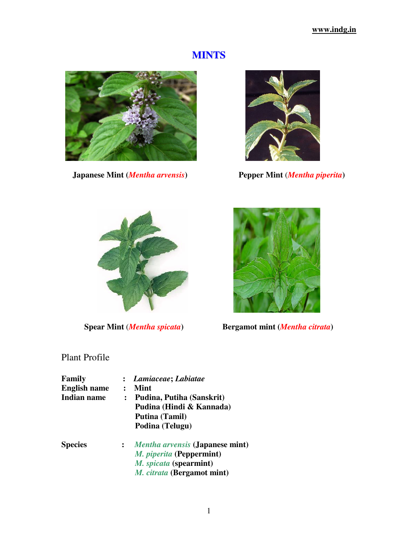# **MINTS**



**Japanese Mint (***Mentha arvensis***) Pepper Mint** (*Mentha piperita***)**







**Spear Mint** (*Mentha spicata***) Bergamot mint (***Mentha citrata***)** 

# Plant Profile

| Family<br><b>English name</b><br>Indian name | $\ddot{\cdot}$ | Lamiaceae; Labiatae<br>Mint<br>Pudina, Putiha (Sanskrit)<br>Pudina (Hindi & Kannada)<br>Putina (Tamil)                                               |  |
|----------------------------------------------|----------------|------------------------------------------------------------------------------------------------------------------------------------------------------|--|
| <b>Species</b>                               | $\ddot{\cdot}$ | Podina (Telugu)<br><i>Mentha arvensis</i> (Japanese mint)<br>M. piperita (Peppermint)<br>M. spicata (spearmint)<br><i>M. citrata</i> (Bergamot mint) |  |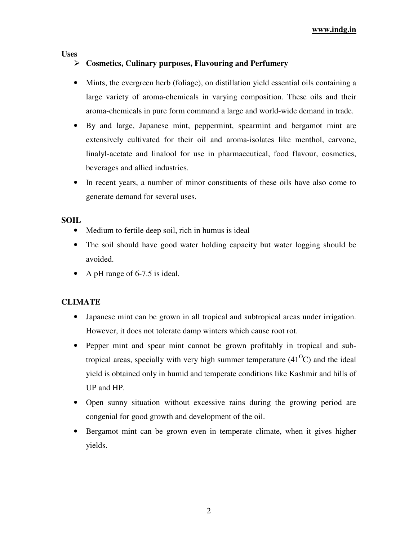**www.indg.in**

**Uses** 

# **Cosmetics, Culinary purposes, Flavouring and Perfumery**

- Mints, the evergreen herb (foliage), on distillation yield essential oils containing a large variety of aroma-chemicals in varying composition. These oils and their aroma-chemicals in pure form command a large and world-wide demand in trade.
- By and large, Japanese mint, peppermint, spearmint and bergamot mint are extensively cultivated for their oil and aroma-isolates like menthol, carvone, linalyl-acetate and linalool for use in pharmaceutical, food flavour, cosmetics, beverages and allied industries.
- In recent years, a number of minor constituents of these oils have also come to generate demand for several uses.

### **SOIL**

- Medium to fertile deep soil, rich in humus is ideal
- The soil should have good water holding capacity but water logging should be avoided.
- A pH range of 6-7.5 is ideal.

# **CLIMATE**

- Japanese mint can be grown in all tropical and subtropical areas under irrigation. However, it does not tolerate damp winters which cause root rot.
- Pepper mint and spear mint cannot be grown profitably in tropical and subtropical areas, specially with very high summer temperature  $(41^{\circ}C)$  and the ideal yield is obtained only in humid and temperate conditions like Kashmir and hills of UP and HP.
- Open sunny situation without excessive rains during the growing period are congenial for good growth and development of the oil.
- Bergamot mint can be grown even in temperate climate, when it gives higher yields.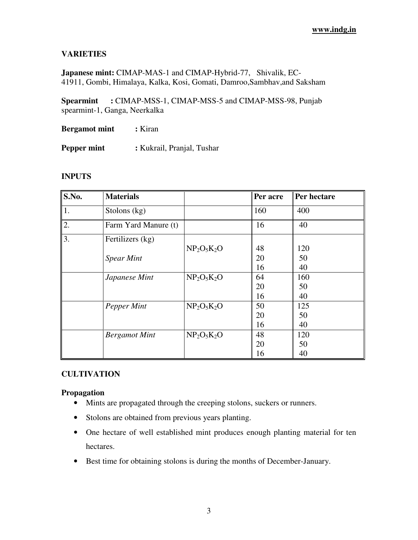## **VARIETIES**

**Japanese mint:** CIMAP-MAS-1 and CIMAP-Hybrid-77, Shivalik, EC-41911, Gombi, Himalaya, Kalka, Kosi, Gomati, Damroo,Sambhav,and Saksham

**Spearmint :** CIMAP-MSS-1, CIMAP-MSS-5 and CIMAP-MSS-98, Punjab spearmint-1, Ganga, Neerkalka

**Bergamot mint : Kiran** 

**Pepper mint :** Kukrail, Pranjal, Tushar

#### **INPUTS**

| S.No. | <b>Materials</b>     |               | Per acre | Per hectare |
|-------|----------------------|---------------|----------|-------------|
| 1.    | Stolons $(kg)$       |               | 160      | 400         |
| 2.    | Farm Yard Manure (t) |               | 16       | 40          |
| 3.    | Fertilizers (kg)     |               |          |             |
|       |                      | $NP2O5K2O$    | 48       | 120         |
|       | <b>Spear Mint</b>    |               | 20       | 50          |
|       |                      |               | 16       | 40          |
|       | Japanese Mint        | $NP2O5K2O$    | 64       | 160         |
|       |                      |               | 20       | 50          |
|       |                      |               | 16       | 40          |
|       | Pepper Mint          | $NP_2O_5K_2O$ | 50       | 125         |
|       |                      |               | 20       | 50          |
|       |                      |               | 16       | 40          |
|       | <b>Bergamot Mint</b> | $NP2O5K2O$    | 48       | 120         |
|       |                      |               | 20       | 50          |
|       |                      |               | 16       | 40          |

#### **CULTIVATION**

#### **Propagation**

- Mints are propagated through the creeping stolons, suckers or runners.
- Stolons are obtained from previous years planting.
- One hectare of well established mint produces enough planting material for ten hectares.
- Best time for obtaining stolons is during the months of December-January.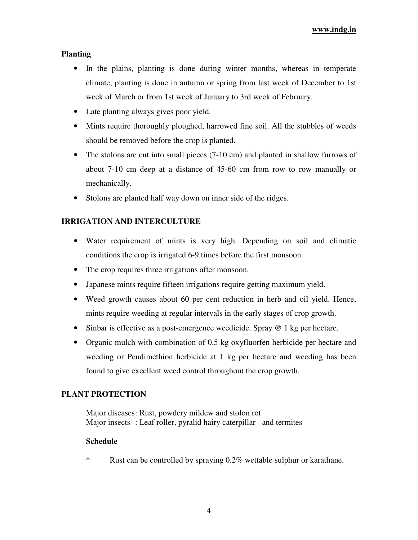#### **Planting**

- In the plains, planting is done during winter months, whereas in temperate climate, planting is done in autumn or spring from last week of December to 1st week of March or from 1st week of January to 3rd week of February.
- Late planting always gives poor yield.
- Mints require thoroughly ploughed, harrowed fine soil. All the stubbles of weeds should be removed before the crop is planted.
- The stolons are cut into small pieces (7-10 cm) and planted in shallow furrows of about 7-10 cm deep at a distance of 45-60 cm from row to row manually or mechanically.
- Stolons are planted half way down on inner side of the ridges.

# **IRRIGATION AND INTERCULTURE**

- Water requirement of mints is very high. Depending on soil and climatic conditions the crop is irrigated 6-9 times before the first monsoon.
- The crop requires three irrigations after monsoon.
- Japanese mints require fifteen irrigations require getting maximum yield.
- Weed growth causes about 60 per cent reduction in herb and oil yield. Hence, mints require weeding at regular intervals in the early stages of crop growth.
- Sinbar is effective as a post-emergence weedicide. Spray @ 1 kg per hectare.
- Organic mulch with combination of 0.5 kg oxyfluorfen herbicide per hectare and weeding or Pendimethion herbicide at 1 kg per hectare and weeding has been found to give excellent weed control throughout the crop growth.

#### **PLANT PROTECTION**

Major diseases: Rust, powdery mildew and stolon rot Major insects : Leaf roller, pyralid hairy caterpillar and termites

#### **Schedule**

\* Rust can be controlled by spraying 0.2% wettable sulphur or karathane.